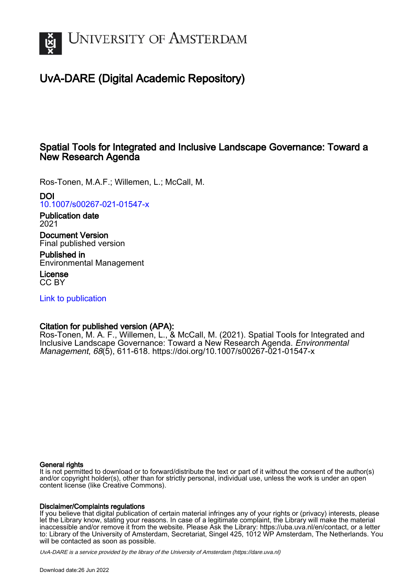

# UvA-DARE (Digital Academic Repository)

# Spatial Tools for Integrated and Inclusive Landscape Governance: Toward a New Research Agenda

Ros-Tonen, M.A.F.; Willemen, L.; McCall, M.

# DOI

[10.1007/s00267-021-01547-x](https://doi.org/10.1007/s00267-021-01547-x)

Publication date 2021

Document Version Final published version

Published in Environmental Management

License CC BY

[Link to publication](https://dare.uva.nl/personal/pure/en/publications/spatial-tools-for-integrated-and-inclusive-landscape-governance-toward-a-new-research-agenda(ebefeac0-19a0-4a07-966e-c70060338aa1).html)

# Citation for published version (APA):

Ros-Tonen, M. A. F., Willemen, L., & McCall, M. (2021). Spatial Tools for Integrated and Inclusive Landscape Governance: Toward a New Research Agenda. Environmental Management, 68(5), 611-618. <https://doi.org/10.1007/s00267-021-01547-x>

### General rights

It is not permitted to download or to forward/distribute the text or part of it without the consent of the author(s) and/or copyright holder(s), other than for strictly personal, individual use, unless the work is under an open content license (like Creative Commons).

### Disclaimer/Complaints regulations

If you believe that digital publication of certain material infringes any of your rights or (privacy) interests, please let the Library know, stating your reasons. In case of a legitimate complaint, the Library will make the material inaccessible and/or remove it from the website. Please Ask the Library: https://uba.uva.nl/en/contact, or a letter to: Library of the University of Amsterdam, Secretariat, Singel 425, 1012 WP Amsterdam, The Netherlands. You will be contacted as soon as possible.

UvA-DARE is a service provided by the library of the University of Amsterdam (http*s*://dare.uva.nl)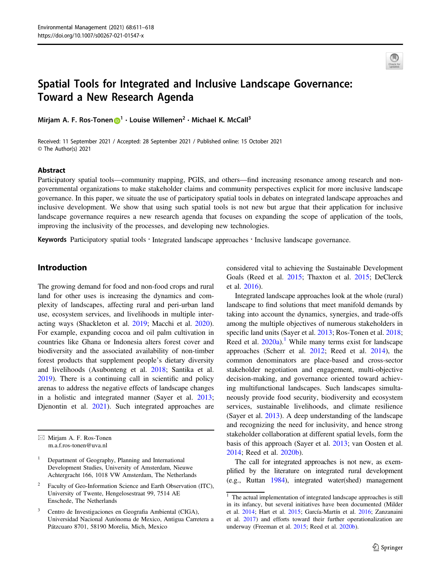

# Spatial Tools for Integrated and Inclusive Landscape Governance: Toward a New Research Agenda

Mirjam A. F. Ros-Tonen n<sup>[1](http://orcid.org/0000-0002-6606-7430)</sup> · Louise Willemen<sup>2</sup> · Michael K. McCall<sup>3</sup>

Received: 11 September 2021 / Accepted: 28 September 2021 / Published online: 15 October 2021 © The Author(s) 2021

#### Abstract

Participatory spatial tools—community mapping, PGIS, and others—find increasing resonance among research and nongovernmental organizations to make stakeholder claims and community perspectives explicit for more inclusive landscape governance. In this paper, we situate the use of participatory spatial tools in debates on integrated landscape approaches and inclusive development. We show that using such spatial tools is not new but argue that their application for inclusive landscape governance requires a new research agenda that focuses on expanding the scope of application of the tools, improving the inclusivity of the processes, and developing new technologies.

Keywords Participatory spatial tools · Integrated landscape approaches · Inclusive landscape governance.

# Introduction

The growing demand for food and non-food crops and rural land for other uses is increasing the dynamics and complexity of landscapes, affecting rural and peri-urban land use, ecosystem services, and livelihoods in multiple interacting ways (Shackleton et al. [2019;](#page-7-0) Macchi et al. [2020](#page-7-0)). For example, expanding cocoa and oil palm cultivation in countries like Ghana or Indonesia alters forest cover and biodiversity and the associated availability of non-timber forest products that supplement people's dietary diversity and livelihoods (Asubonteng et al. [2018](#page-5-0); Santika et al. [2019\)](#page-7-0). There is a continuing call in scientific and policy arenas to address the negative effects of landscape changes in a holistic and integrated manner (Sayer et al. [2013](#page-7-0); Djenontin et al. [2021\)](#page-6-0). Such integrated approaches are

- Faculty of Geo-Information Science and Earth Observation (ITC), University of Twente, Hengelosestraat 99, 7514 AE Enschede, The Netherlands
- <sup>3</sup> Centro de Investigaciones en Geografia Ambiental (CIGA), Universidad Nacional Autónoma de Mexico, Antigua Carretera a Pátzcuaro 8701, 58190 Morelia, Mich, Mexico

considered vital to achieving the Sustainable Development Goals (Reed et al. [2015](#page-7-0); Thaxton et al. [2015](#page-8-0); DeClerck et al. [2016](#page-6-0)).

Integrated landscape approaches look at the whole (rural) landscape to find solutions that meet manifold demands by taking into account the dynamics, synergies, and trade-offs among the multiple objectives of numerous stakeholders in specific land units (Sayer et al. [2013;](#page-7-0) Ros-Tonen et al. [2018;](#page-7-0) Reed et al.  $2020a$ <sup>1</sup>. While many terms exist for landscape approaches (Scherr et al. [2012;](#page-7-0) Reed et al. [2014\)](#page-7-0), the common denominators are place-based and cross-sector stakeholder negotiation and engagement, multi-objective decision-making, and governance oriented toward achieving multifunctional landscapes. Such landscapes simultaneously provide food security, biodiversity and ecosystem services, sustainable livelihoods, and climate resilience (Sayer et al. [2013](#page-7-0)). A deep understanding of the landscape and recognizing the need for inclusivity, and hence strong stakeholder collaboration at different spatial levels, form the basis of this approach (Sayer et al. [2013;](#page-7-0) van Oosten et al. [2014](#page-8-0); Reed et al. [2020b](#page-7-0)).

The call for integrated approaches is not new, as exemplified by the literature on integrated rural development (e.g., Ruttan [1984\)](#page-7-0), integrated water(shed) management

 $\boxtimes$  Mirjam A. F. Ros-Tonen [m.a.f.ros-tonen@uva.nl](mailto:m.a.f.ros-tonen@uva.nl)

<sup>1</sup> Department of Geography, Planning and International Development Studies, University of Amsterdam, Nieuwe Achtergracht 166, 1018 VW Amsterdam, The Netherlands

<sup>&</sup>lt;sup>1</sup> The actual implementation of integrated landscape approaches is still in its infancy, but several initiatives have been documented (Milder et al. [2014](#page-7-0); Hart et al. [2015](#page-6-0); García-Martín et al. [2016](#page-6-0); Zanzanaini et al. [2017\)](#page-8-0) and efforts toward their further operationalization are underway (Freeman et al. [2015;](#page-6-0) Reed et al. [2020b\)](#page-7-0).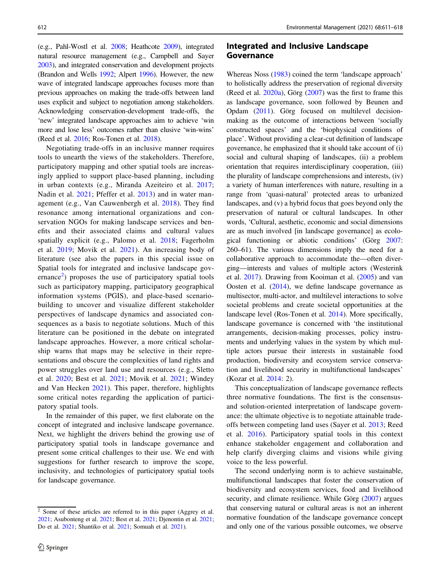(e.g., Pahl-Wostl et al. [2008](#page-7-0); Heathcote [2009](#page-6-0)), integrated natural resource management (e.g., Campbell and Sayer [2003](#page-6-0)), and integrated conservation and development projects (Brandon and Wells [1992;](#page-6-0) Alpert [1996](#page-5-0)). However, the new wave of integrated landscape approaches focuses more than previous approaches on making the trade-offs between land uses explicit and subject to negotiation among stakeholders. Acknowledging conservation-development trade-offs, the 'new' integrated landscape approaches aim to achieve 'win more and lose less' outcomes rather than elusive 'win-wins' (Reed et al. [2016](#page-7-0); Ros-Tonen et al. [2018\)](#page-7-0).

Negotiating trade-offs in an inclusive manner requires tools to unearth the views of the stakeholders. Therefore, participatory mapping and other spatial tools are increasingly applied to support place-based planning, including in urban contexts (e.g., Miranda Azeiteiro et al. [2017](#page-7-0); Nadin et al. [2021;](#page-7-0) Pfeffer et al. [2013](#page-7-0)) and in water management (e.g., Van Cauwenbergh et al. [2018](#page-8-0)). They find resonance among international organizations and conservation NGOs for making landscape services and benefits and their associated claims and cultural values spatially explicit (e.g., Palomo et al. [2018](#page-7-0); Fagerholm et al. [2019;](#page-6-0) Movik et al. [2021\)](#page-7-0). An increasing body of literature (see also the papers in this special issue on Spatial tools for integrated and inclusive landscape governance<sup>2</sup>) proposes the use of participatory spatial tools such as participatory mapping, participatory geographical information systems (PGIS), and place-based scenariobuilding to uncover and visualize different stakeholder perspectives of landscape dynamics and associated consequences as a basis to negotiate solutions. Much of this literature can be positioned in the debate on integrated landscape approaches. However, a more critical scholarship warns that maps may be selective in their representations and obscure the complexities of land rights and power struggles over land use and resources (e.g., Sletto et al. [2020;](#page-7-0) Best et al. [2021;](#page-6-0) Movik et al. [2021;](#page-7-0) Windey and Van Hecken [2021](#page-8-0)). This paper, therefore, highlights some critical notes regarding the application of participatory spatial tools.

In the remainder of this paper, we first elaborate on the concept of integrated and inclusive landscape governance. Next, we highlight the drivers behind the growing use of participatory spatial tools in landscape governance and present some critical challenges to their use. We end with suggestions for further research to improve the scope, inclusivity, and technologies of participatory spatial tools for landscape governance.

## Integrated and Inclusive Landscape Governance

Whereas Noss [\(1983](#page-7-0)) coined the term 'landscape approach' to holistically address the preservation of regional diversity (Reed et al.  $2020a$ ), Görg [\(2007](#page-6-0)) was the first to frame this as landscape governance, soon followed by Beunen and Opdam ([2011\)](#page-6-0). Görg focused on multilevel decisionmaking as the outcome of interactions between 'socially constructed spaces' and the 'biophysical conditions of place'. Without providing a clear-cut definition of landscape governance, he emphasized that it should take account of (i) social and cultural shaping of landscapes, (ii) a problem orientation that requires interdisciplinary cooperation, (iii) the plurality of landscape comprehensions and interests, (iv) a variety of human interferences with nature, resulting in a range from 'quasi-natural' protected areas to urbanized landscapes, and (v) a hybrid focus that goes beyond only the preservation of natural or cultural landscapes. In other words, 'Cultural, aesthetic, economic and social dimensions are as much involved [in landscape governance] as ecological functioning or abiotic conditions' (Görg [2007:](#page-6-0) 260–61). The various dimensions imply the need for a collaborative approach to accommodate the—often diverging—interests and values of multiple actors (Westerink et al. [2017](#page-8-0)). Drawing from Kooiman et al. ([2005\)](#page-6-0) and van Oosten et al. ([2014](#page-8-0)), we define landscape governance as multisector, multi-actor, and multilevel interactions to solve societal problems and create societal opportunities at the landscape level (Ros-Tonen et al. [2014\)](#page-7-0). More specifically, landscape governance is concerned with 'the institutional arrangements, decision-making processes, policy instruments and underlying values in the system by which multiple actors pursue their interests in sustainable food production, biodiversity and ecosystem service conservation and livelihood security in multifunctional landscapes' (Kozar et al. [2014](#page-6-0): 2).

This conceptualization of landscape governance reflects three normative foundations. The first is the consensusand solution-oriented interpretation of landscape governance: the ultimate objective is to negotiate attainable tradeoffs between competing land uses (Sayer et al. [2013](#page-7-0); Reed et al. [2016\)](#page-7-0). Participatory spatial tools in this context enhance stakeholder engagement and collaboration and help clarify diverging claims and visions while giving voice to the less powerful.

The second underlying norm is to achieve sustainable, multifunctional landscapes that foster the conservation of biodiversity and ecosystem services, food and livelihood security, and climate resilience. While Görg ([2007\)](#page-6-0) argues that conserving natural or cultural areas is not an inherent normative foundation of the landscape governance concept and only one of the various possible outcomes, we observe

 $\frac{2}{3}$  Some of these articles are referred to in this paper (Aggrey et al. [2021;](#page-5-0) Asubonteng et al. [2021;](#page-6-0) Best et al. [2021](#page-6-0); Djenontin et al. [2021;](#page-6-0) Do et al. [2021;](#page-6-0) Shantiko et al. [2021](#page-7-0); Somuah et al. [2021\)](#page-7-0).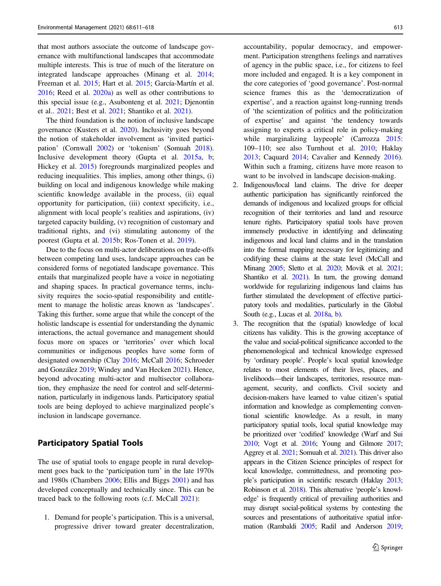that most authors associate the outcome of landscape governance with multifunctional landscapes that accommodate multiple interests. This is true of much of the literature on integrated landscape approaches (Minang et al. [2014](#page-7-0); Freeman et al. [2015;](#page-6-0) Hart et al. [2015](#page-6-0); García-Martín et al. [2016;](#page-6-0) Reed et al. [2020a\)](#page-7-0) as well as other contributions to this special issue (e.g., Asubonteng et al. [2021](#page-6-0); Djenontin et al.. [2021;](#page-6-0) Best et al. [2021;](#page-6-0) Shantiko et al. [2021\)](#page-7-0).

The third foundation is the notion of inclusive landscape governance (Kusters et al. [2020](#page-6-0)). Inclusivity goes beyond the notion of stakeholder involvement as 'invited participation' (Cornwall [2002\)](#page-6-0) or 'tokenism' (Somuah [2018](#page-7-0)). Inclusive development theory (Gupta et al. [2015a](#page-6-0), [b](#page-6-0); Hickey et al. [2015](#page-6-0)) foregrounds marginalized peoples and reducing inequalities. This implies, among other things, (i) building on local and indigenous knowledge while making scientific knowledge available in the process, (ii) equal opportunity for participation, (iii) context specificity, i.e., alignment with local people's realities and aspirations, (iv) targeted capacity building, (v) recognition of customary and traditional rights, and (vi) stimulating autonomy of the poorest (Gupta et al. [2015b](#page-6-0); Ros-Tonen et al. [2019](#page-7-0)).

Due to the focus on multi-actor deliberations on trade-offs between competing land uses, landscape approaches can be considered forms of negotiated landscape governance. This entails that marginalized people have a voice in negotiating and shaping spaces. In practical governance terms, inclusivity requires the socio-spatial responsibility and entitlement to manage the holistic areas known as 'landscapes'. Taking this further, some argue that while the concept of the holistic landscape is essential for understanding the dynamic interactions, the actual governance and management should focus more on spaces or 'territories' over which local communities or indigenous peoples have some form of designated ownership (Clay [2016](#page-6-0); McCall [2016](#page-7-0); Schroeder and González [2019;](#page-7-0) Windey and Van Hecken [2021](#page-8-0)). Hence, beyond advocating multi-actor and multisector collaboration, they emphasize the need for control and self-determination, particularly in indigenous lands. Participatory spatial tools are being deployed to achieve marginalized people's inclusion in landscape governance.

### Participatory Spatial Tools

The use of spatial tools to engage people in rural development goes back to the 'participation turn' in the late 1970s and 1980s (Chambers [2006;](#page-6-0) Ellis and Biggs [2001](#page-6-0)) and has developed conceptually and technically since. This can be traced back to the following roots (c.f. McCall [2021\)](#page-7-0):

1. Demand for people's participation. This is a universal, progressive driver toward greater decentralization, accountability, popular democracy, and empowerment. Participation strengthens feelings and narratives of agency in the public space, i.e., for citizens to feel more included and engaged. It is a key component in the core categories of 'good governance'. Post-normal science frames this as the 'democratization of expertise', and a reaction against long-running trends of 'the scientization of politics and the politicization of expertise' and against 'the tendency towards assigning to experts a critical role in policy-making while marginalizing laypeople' (Carrozza [2015:](#page-6-0) 109–110; see also Turnhout et al. [2010;](#page-8-0) Haklay [2013](#page-6-0); Caquard [2014](#page-6-0); Cavalier and Kennedy [2016\)](#page-6-0). Within such a framing, citizens have more reason to want to be involved in landscape decision-making.

- 2. Indigenous/local land claims. The drive for deeper authentic participation has significantly reinforced the demands of indigenous and localized groups for official recognition of their territories and land and resource tenure rights. Participatory spatial tools have proven immensely productive in identifying and delineating indigenous and local land claims and in the translation into the formal mapping necessary for legitimizing and codifying these claims at the state level (McCall and Minang [2005](#page-7-0); Sletto et al. [2020](#page-7-0); Movik et al. [2021;](#page-7-0) Shantiko et al. [2021](#page-7-0)). In turn, the growing demand worldwide for regularizing indigenous land claims has further stimulated the development of effective participatory tools and modalities, particularly in the Global South (e.g., Lucas et al. [2018a](#page-6-0), [b](#page-7-0)).
- 3. The recognition that the (spatial) knowledge of local citizens has validity. This is the growing acceptance of the value and social-political significance accorded to the phenomenological and technical knowledge expressed by 'ordinary people'. People's local spatial knowledge relates to most elements of their lives, places, and livelihoods—their landscapes, territories, resource management, security, and conflicts. Civil society and decision-makers have learned to value citizen's spatial information and knowledge as complementing conventional scientific knowledge. As a result, in many participatory spatial tools, local spatial knowledge may be prioritized over 'codified' knowledge (Warf and Sui [2010](#page-8-0); Vogt et al. [2016;](#page-8-0) Young and Gilmore [2017;](#page-8-0) Aggrey et al. [2021](#page-5-0); Somuah et al. [2021\)](#page-7-0). This driver also appears in the Citizen Science principles of respect for local knowledge, committedness, and promoting people's participation in scientific research (Haklay [2013;](#page-6-0) Robinson et al. [2018](#page-7-0)). This alternative 'people's knowledge' is frequently critical of prevailing authorities and may disrupt social-political systems by contesting the sources and presentations of authoritative spatial information (Rambaldi [2005;](#page-7-0) Radil and Anderson [2019;](#page-7-0)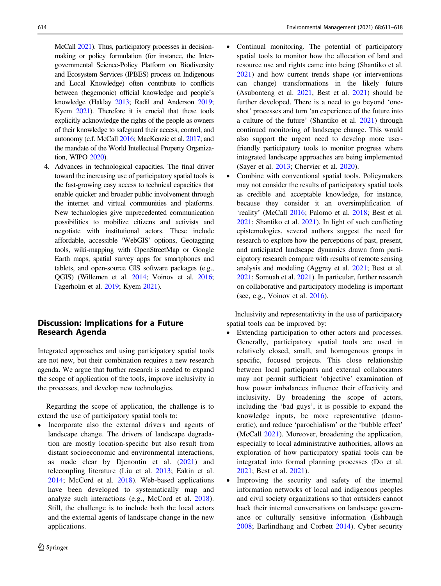McCall [2021\)](#page-7-0). Thus, participatory processes in decisionmaking or policy formulation (for instance, the Intergovernmental Science-Policy Platform on Biodiversity and Ecosystem Services (IPBES) process on Indigenous and Local Knowledge) often contribute to conflicts between (hegemonic) official knowledge and people's knowledge (Haklay [2013](#page-6-0); Radil and Anderson [2019](#page-7-0); Kyem [2021\)](#page-6-0). Therefore it is crucial that these tools explicitly acknowledge the rights of the people as owners of their knowledge to safeguard their access, control, and autonomy (c.f. McCall [2016;](#page-7-0) MacKenzie et al. [2017](#page-7-0); and the mandate of the World Intellectual Property Organization, WIPO [2020](#page-8-0)).

4. Advances in technological capacities. The final driver toward the increasing use of participatory spatial tools is the fast-growing easy access to technical capacities that enable quicker and broader public involvement through the internet and virtual communities and platforms. New technologies give unprecedented communication possibilities to mobilize citizens and activists and negotiate with institutional actors. These include affordable, accessible 'WebGIS' options, Geotagging tools, wiki-mapping with OpenStreetMap or Google Earth maps, spatial survey apps for smartphones and tablets, and open-source GIS software packages (e.g., QGIS) (Willemen et al. [2014;](#page-8-0) Voinov et al. [2016](#page-8-0); Fagerholm et al. [2019;](#page-6-0) Kyem [2021\)](#page-6-0).

# Discussion: Implications for a Future Research Agenda

Integrated approaches and using participatory spatial tools are not new, but their combination requires a new research agenda. We argue that further research is needed to expand the scope of application of the tools, improve inclusivity in the processes, and develop new technologies.

Regarding the scope of application, the challenge is to extend the use of participatory spatial tools to:

Incorporate also the external drivers and agents of landscape change. The drivers of landscape degradation are mostly location-specific but also result from distant socioeconomic and environmental interactions, as made clear by Djenontin et al. ([2021](#page-6-0)) and telecoupling literature (Liu et al. [2013;](#page-6-0) Eakin et al. [2014](#page-6-0); McCord et al. [2018](#page-7-0)). Web-based applications have been developed to systematically map and analyze such interactions (e.g., McCord et al. [2018](#page-7-0)). Still, the challenge is to include both the local actors and the external agents of landscape change in the new applications.

- Continual monitoring. The potential of participatory spatial tools to monitor how the allocation of land and resource use and rights came into being (Shantiko et al. [2021\)](#page-7-0) and how current trends shape (or interventions can change) transformations in the likely future (Asubonteng et al. [2021](#page-6-0), Best et al. [2021](#page-6-0)) should be further developed. There is a need to go beyond 'oneshot' processes and turn 'an experience of the future into a culture of the future' (Shantiko et al. [2021](#page-7-0)) through continued monitoring of landscape change. This would also support the urgent need to develop more userfriendly participatory tools to monitor progress where integrated landscape approaches are being implemented (Sayer et al. [2013](#page-7-0); Chervier et al. [2020](#page-6-0)).
- Combine with conventional spatial tools. Policymakers may not consider the results of participatory spatial tools as credible and acceptable knowledge, for instance, because they consider it an oversimplification of 'reality' (McCall [2016;](#page-7-0) Palomo et al. [2018](#page-7-0); Best et al. [2021;](#page-6-0) Shantiko et al. [2021](#page-7-0)). In light of such conflicting epistemologies, several authors suggest the need for research to explore how the perceptions of past, present, and anticipated landscape dynamics drawn from participatory research compare with results of remote sensing analysis and modeling (Aggrey et al. [2021;](#page-5-0) Best et al. [2021;](#page-6-0) Somuah et al. [2021](#page-7-0)). In particular, further research on collaborative and participatory modeling is important (see, e.g., Voinov et al. [2016](#page-8-0)).

Inclusivity and representativity in the use of participatory spatial tools can be improved by:

- Extending participation to other actors and processes. Generally, participatory spatial tools are used in relatively closed, small, and homogenous groups in specific, focused projects. This close relationship between local participants and external collaborators may not permit sufficient 'objective' examination of how power imbalances influence their effectivity and inclusivity. By broadening the scope of actors, including the 'bad guys', it is possible to expand the knowledge inputs, be more representative (democratic), and reduce 'parochialism' or the 'bubble effect' (McCall [2021](#page-7-0)). Moreover, broadening the application, especially to local administrative authorities, allows an exploration of how participatory spatial tools can be integrated into formal planning processes (Do et al. [2021](#page-6-0); Best et al. [2021\)](#page-6-0).
- Improving the security and safety of the internal information networks of local and indigenous peoples and civil society organizations so that outsiders cannot hack their internal conversations on landscape governance or culturally sensitive information (Eshbaugh [2008](#page-6-0); Barlindhaug and Corbett [2014](#page-6-0)). Cyber security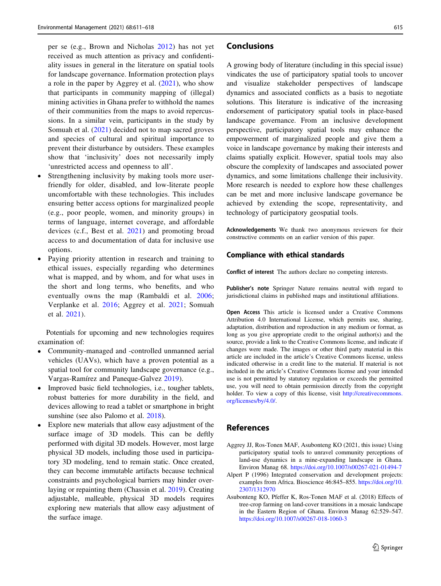<span id="page-5-0"></span>per se (e.g., Brown and Nicholas [2012](#page-6-0)) has not yet received as much attention as privacy and confidentiality issues in general in the literature on spatial tools for landscape governance. Information protection plays a role in the paper by Aggrey et al. (2021), who show that participants in community mapping of (illegal) mining activities in Ghana prefer to withhold the names of their communities from the maps to avoid repercussions. In a similar vein, participants in the study by Somuah et al. ([2021](#page-7-0)) decided not to map sacred groves and species of cultural and spiritual importance to prevent their disturbance by outsiders. These examples show that 'inclusivity' does not necessarily imply 'unrestricted access and openness to all'.

- Strengthening inclusivity by making tools more userfriendly for older, disabled, and low-literate people uncomfortable with these technologies. This includes ensuring better access options for marginalized people (e.g., poor people, women, and minority groups) in terms of language, internet coverage, and affordable devices (c.f., Best et al. [2021](#page-6-0)) and promoting broad access to and documentation of data for inclusive use options.
- Paying priority attention in research and training to ethical issues, especially regarding who determines what is mapped, and by whom, and for what uses in the short and long terms, who benefits, and who eventually owns the map (Rambaldi et al. [2006](#page-7-0); Verplanke et al. [2016](#page-8-0); Aggrey et al. 2021; Somuah et al. [2021\)](#page-7-0).

Potentials for upcoming and new technologies requires examination of:

- Community-managed and -controlled unmanned aerial vehicles (UAVs), which have a proven potential as a spatial tool for community landscape governance (e.g., Vargas-Ramírez and Paneque-Galvez [2019](#page-8-0)).
- Improved basic field technologies, i.e., tougher tablets, robust batteries for more durability in the field, and devices allowing to read a tablet or smartphone in bright sunshine (see also Palomo et al. [2018](#page-7-0)).
- Explore new materials that allow easy adjustment of the surface image of 3D models. This can be deftly performed with digital 3D models. However, most large physical 3D models, including those used in participatory 3D modeling, tend to remain static. Once created, they can become immutable artifacts because technical constraints and psychological barriers may hinder overlaying or repainting them (Chassin et al. [2019\)](#page-6-0). Creating adjustable, malleable, physical 3D models requires exploring new materials that allow easy adjustment of the surface image.

### Conclusions

A growing body of literature (including in this special issue) vindicates the use of participatory spatial tools to uncover and visualize stakeholder perspectives of landscape dynamics and associated conflicts as a basis to negotiate solutions. This literature is indicative of the increasing endorsement of participatory spatial tools in place-based landscape governance. From an inclusive development perspective, participatory spatial tools may enhance the empowerment of marginalized people and give them a voice in landscape governance by making their interests and claims spatially explicit. However, spatial tools may also obscure the complexity of landscapes and associated power dynamics, and some limitations challenge their inclusivity. More research is needed to explore how these challenges can be met and more inclusive landscape governance be achieved by extending the scope, representativity, and technology of participatory geospatial tools.

Acknowledgements We thank two anonymous reviewers for their constructive comments on an earlier version of this paper.

#### Compliance with ethical standards

Conflict of interest The authors declare no competing interests.

Publisher's note Springer Nature remains neutral with regard to jurisdictional claims in published maps and institutional affiliations.

Open Access This article is licensed under a Creative Commons Attribution 4.0 International License, which permits use, sharing, adaptation, distribution and reproduction in any medium or format, as long as you give appropriate credit to the original author(s) and the source, provide a link to the Creative Commons license, and indicate if changes were made. The images or other third party material in this article are included in the article's Creative Commons license, unless indicated otherwise in a credit line to the material. If material is not included in the article's Creative Commons license and your intended use is not permitted by statutory regulation or exceeds the permitted use, you will need to obtain permission directly from the copyright holder. To view a copy of this license, visit [http://creativecommons.](http://creativecommons.org/licenses/by/4.0/) [org/licenses/by/4.0/](http://creativecommons.org/licenses/by/4.0/).

#### References

- Aggrey JJ, Ros-Tonen MAF, Asubonteng KO (2021, this issue) Using participatory spatial tools to unravel community perceptions of land-use dynamics in a mine-expanding landscape in Ghana. Environ Manag 68. <https://doi.org/10.1007/s00267-021-01494-7>
- Alpert P (1996) Integrated conservation and development projects: examples from Africa. Bioscience 46:845–855. [https://doi.org/10.](https://doi.org/10.2307/1312970) [2307/1312970](https://doi.org/10.2307/1312970)
- Asubonteng KO, Pfeffer K, Ros-Tonen MAF et al. (2018) Effects of tree-crop farming on land-cover transitions in a mosaic landscape in the Eastern Region of Ghana. Environ Manag 62:529–547. <https://doi.org/10.1007/s00267-018-1060-3>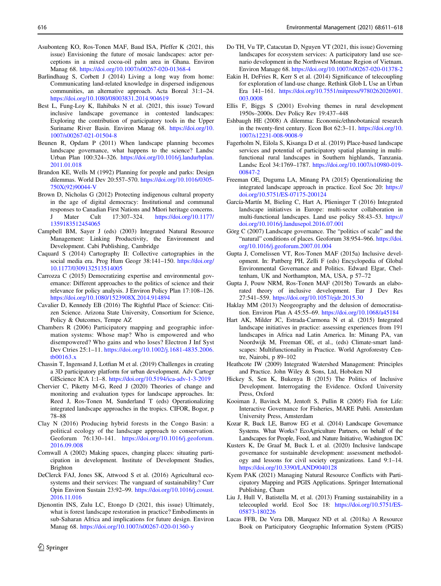- <span id="page-6-0"></span>Asubonteng KO, Ros-Tonen MAF, Baud ISA, Pfeffer K (2021, this issue) Envisioning the future of mosaic landscapes: actor perceptions in a mixed cocoa-oil palm area in Ghana. Environ Manag 68. <https://doi.org/10.1007/s00267-020-01368-4>
- Barlindhaug S, Corbett J (2014) Living a long way from home: Communicating land-related knowledge in dispersed indigenous communities, an alternative approach. Acta Boreal 31:1–24. <https://doi.org/10.1080/08003831.2014.904619>
- Best L, Fung-Loy K, Ilahibaks N et al. (2021, this issue) Toward inclusive landscape governance in contested landscapes: Exploring the contribution of participatory tools in the Upper Suriname River Basin. Environ Manag 68. [https://doi.org/10.](https://doi.org/10.1007/s00267-021-01504-8) [1007/s00267-021-01504-8](https://doi.org/10.1007/s00267-021-01504-8)
- Beunen R, Opdam P (2011) When landscape planning becomes landscape governance, what happens to the science? Landsc Urban Plan 100:324–326. [https://doi.org/10.1016/j.landurbplan.](https://doi.org/10.1016/j.landurbplan.2011.01.018) [2011.01.018](https://doi.org/10.1016/j.landurbplan.2011.01.018)
- Brandon KE, Wells M (1992) Planning for people and parks: Design dilemmas. World Dev 20:557–570. [https://doi.org/10.1016/0305-](https://doi.org/10.1016/0305-750X(92)90044-V) [750X\(92\)90044-V](https://doi.org/10.1016/0305-750X(92)90044-V)
- Brown D, Nicholas G (2012) Protecting indigenous cultural property in the age of digital democracy: Institutional and communal responses to Canadian First Nations and Māori heritage concerns. Mater Cult 17:307–324. [https://doi.org/10.1177/](https://doi.org/10.1177/1359183512454065) [1359183512454065](https://doi.org/10.1177/1359183512454065)
- Campbell BM, Sayer J (eds) (2003) Integrated Natural Resource Management: Linking Productivity, the Environment and Development. Cabi Publishing, Cambridge
- Caquard S (2014) Cartography II: Collective cartographies in the social media era. Prog Hum Geogr 38:141–150. [https://doi.org/](https://doi.org/10.1177/0309132513514005) [10.1177/0309132513514005](https://doi.org/10.1177/0309132513514005)
- Carrozza C (2015) Democratizing expertise and environmental governance: Different approaches to the politics of science and their relevance for policy analysis. J Environ Policy Plan 17:108–126. <https://doi.org/10.1080/1523908X.2014.914894>
- Cavalier D, Kennedy EB (2016) The Rightful Place of Science: Citizen Science. Arizona State University, Consortium for Science, Policy & Outcomes, Tempe AZ
- Chambers R (2006) Participatory mapping and geographic information systems: Whose map? Who is empowered and who disempowered? Who gains and who loses? Electron J Inf Syst Dev Ctries 25:1–11. [https://doi.org/10.1002/j.1681-4835.2006.](https://doi.org/10.1002/j.1681-4835.2006.tb00163.x) [tb00163.x](https://doi.org/10.1002/j.1681-4835.2006.tb00163.x)
- Chassin T, Ingensand J, Lotfian M et al. (2019) Challenges in creating a 3D participatory platform for urban development. Adv Cartogr GIScience ICA 1:1–8. <https://doi.org/10.5194/ica-adv-1-3-2019>
- Chervier C, Piketty M-G, Reed J (2020) Theories of change and monitoring and evaluation types for landscape approaches. In: Reed J, Ros-Tonen M, Sunderland T (eds) Operationalizing integrated landscape approaches in the tropics. CIFOR, Bogor, p 78–88
- Clay N (2016) Producing hybrid forests in the Congo Basin: a political ecology of the landscape approach to conservation. Geoforum 76:130–141. [https://doi.org/10.1016/j.geoforum.](https://doi.org/10.1016/j.geoforum.2016.09.008) [2016.09.008](https://doi.org/10.1016/j.geoforum.2016.09.008)
- Cornwall A (2002) Making spaces, changing places: situating participation in development. Institute of Development Studies, Brighton
- DeClerck FAJ, Jones SK, Attwood S et al. (2016) Agricultural ecosystems and their services: The vanguard of sustainability? Curr Opin Environ Sustain 23:92–99. [https://doi.org/10.1016/j.cosust.](https://doi.org/10.1016/j.cosust.2016.11.016) [2016.11.016](https://doi.org/10.1016/j.cosust.2016.11.016)
- Djenontin INS, Zulu LC, Etongo D (2021, this issue) Ultimately, what is forest landscape restoration in practice? Embodiments in sub-Saharan Africa and implications for future design. Environ Manag 68. <https://doi.org/10.1007/s00267-020-01360-y>
- Eakin H, DeFries R, Kerr S et al. (2014) Significance of telecoupling for exploration of land-use change. Rethink Glob L Use an Urban Era 141–161. [https://doi.org/10.7551/mitpress/9780262026901.](https://doi.org/10.7551/mitpress/9780262026901.003.0008) [003.0008](https://doi.org/10.7551/mitpress/9780262026901.003.0008)
- Ellis F, Biggs S (2001) Evolving themes in rural development 1950s–2000s. Dev Policy Rev 19:437–448
- Eshbaugh HE (2008) A dilemma: Economic/ethnobotanical research in the twenty-first century. Econ Bot 62:3–11. [https://doi.org/10.](https://doi.org/10.1007/s12231-008-9008-9) [1007/s12231-008-9008-9](https://doi.org/10.1007/s12231-008-9008-9)
- Fagerholm N, Eilola S, Kisanga D et al. (2019) Place-based landscape services and potential of participatory spatial planning in multifunctional rural landscapes in Southern highlands, Tanzania. Landsc Ecol 34:1769–1787. [https://doi.org/10.1007/s10980-019-](https://doi.org/10.1007/s10980-019-00847-2) [00847-2](https://doi.org/10.1007/s10980-019-00847-2)
- Freeman OE, Duguma LA, Minang PA (2015) Operationalizing the integrated landscape approach in practice. Ecol Soc 20: [https://](https://doi.org/10.5751/ES-07175-200124) [doi.org/10.5751/ES-07175-200124](https://doi.org/10.5751/ES-07175-200124)
- García-Martín M, Bieling C, Hart A, Plieninger T (2016) Integrated landscape initiatives in Europe: multi-sector collaboration in multi-functional landscapes. Land use policy 58:43–53. [https://](https://doi.org/10.1016/j.landusepol.2016.07.001) [doi.org/10.1016/j.landusepol.2016.07.001](https://doi.org/10.1016/j.landusepol.2016.07.001)
- Görg C (2007) Landscape governance. The "politics of scale" and the "natural" conditions of places. Geoforum 38:954-966. [https://doi.](https://doi.org/10.1016/j.geoforum.2007.01.004) [org/10.1016/j.geoforum.2007.01.004](https://doi.org/10.1016/j.geoforum.2007.01.004)
- Gupta J, Cornelissen VT, Ros-Tonen MAF (2015a) Inclusive development. In: Pattberg PH, Zelli F (eds) Encyclopedia of Global Environmental Governance and Politics. Edward Elgar, Cheltenham, UK and Northampton, MA, USA, p 57–72
- Gupta J, Pouw NRM, Ros-Tonen MAF (2015b) Towards an elaborated theory of inclusive development. Eur J Dev Res 27:541–559. <https://doi.org/10.1057/ejdr.2015.30>
- Haklay MM (2013) Neogeography and the delusion of democratisation. Environ Plan A 45:55–69. <https://doi.org/10.1068/a45184>
- Hart AK, Milder JC, Estrada-Carmona N et al. (2015) Integrated landscape initiatives in practice: assessing experiences from 191 landscapes in Africa nad Latin America. In: Minang PA, van Noordwijk M, Freeman OE, et al., (eds) Climate-smart landscapes: Multifunctionality in Practice. World Agroforestry Centre, Nairobi, p 89–102
- Heathcote IW (2009) Integrated Watershed Management: Principles and Practice. John Wiley & Sons, Ltd, Hoboken NJ
- Hickey S, Sen K, Bukenya B (2015) The Politics of Inclusive Development. Interrogating the Evidence. Oxford University Press, Oxford
- Kooiman J, Bavinck M, Jentoft S, Pullin R (2005) Fish for Life: Interactive Governance for Fisheries, MARE Publi. Amsterdam University Press, Amsterdam
- Kozar R, Buck LE, Barrow EG et al. (2014) Landscape Governance Systems. What Works? EcoAgriculture Partners, on behalf of the Landscapes for People, Food, and Nature Initiative, Washington DC
- Kusters K, De Graaf M, Buck L et al. (2020) Inclusive landscape governance for sustainable development: assessment methodology and lessons for civil society organizations. Land 9:1–14. <https://doi.org/10.3390/LAND9040128>
- Kyem PAK (2021) Managing Natural Resource Conflicts with Participatory Mapping and PGIS Applications. Springer International Publishing, Cham
- Liu J, Hull V, Batistella M, et al. (2013) Framing sustainability in a telecoupled world. Ecol Soc 18: [https://doi.org/10.5751/ES-](https://doi.org/10.5751/ES-05873-180226)[05873-180226](https://doi.org/10.5751/ES-05873-180226)
- Lucas FFB, De Vera DB, Marquez ND et al. (2018a) A Resource Book on Participatory Geographic Information System (PGIS)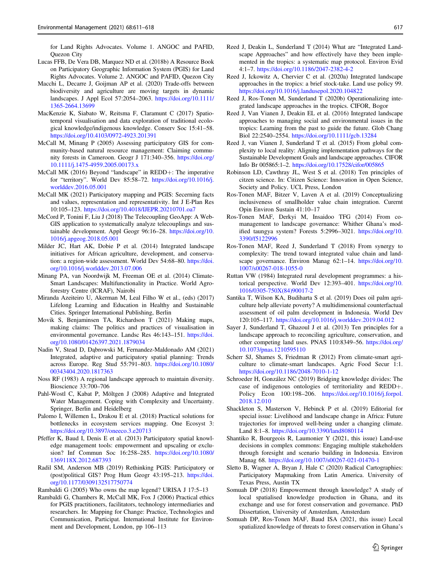<span id="page-7-0"></span>for Land Rights Advocates. Volume 1. ANGOC and PAFID, Quezon City

- Lucas FFB, De Vera DB, Marquez ND et al. (2018b) A Resource Book on Participatory Geographic Information System (PGIS) for Land Rights Advocates. Volume 2. ANGOC and PAFID, Quezon City
- Macchi L, Decarre J, Goijman AP et al. (2020) Trade-offs between biodiversity and agriculture are moving targets in dynamic landscapes. J Appl Ecol 57:2054–2063. [https://doi.org/10.1111/](https://doi.org/10.1111/1365-2664.13699) [1365-2664.13699](https://doi.org/10.1111/1365-2664.13699)
- MacKenzie K, Siabato W, Reitsma F, Claramunt C (2017) Spatiotemporal visualisation and data exploration of traditional ecological knowledge/indigenous knowledge. Conserv Soc 15:41–58. <https://doi.org/10.4103/0972-4923.201391>
- McCall M, Minang P (2005) Assessing participatory GIS for community‐based natural resource management: Claiming community forests in Cameroon. Geogr J 171:340–356. [https://doi.org/](https://doi.org/10.1111/j.1475-4959.2005.00173.x) [10.1111/j.1475-4959.2005.00173.x](https://doi.org/10.1111/j.1475-4959.2005.00173.x)
- McCall MK (2016) Beyond "landscape" in REDD+: The imperative for "territory". World Dev 85:58–72. [https://doi.org/10.1016/j.](https://doi.org/10.1016/j.worlddev.2016.05.001) [worlddev.2016.05.001](https://doi.org/10.1016/j.worlddev.2016.05.001)
- McCall MK (2021) Participatory mapping and PGIS: Secerning facts and values, representation and representativity. Int J E-Plan Res 10:105–123. <https://doi.org/10.4018/IJEPR.20210701.oa7>
- McCord P, Tonini F, Liu J (2018) The Telecoupling GeoApp: A Web-GIS application to systematically analyze telecouplings and sustainable development. Appl Geogr 96:16–28. [https://doi.org/10.](https://doi.org/10.1016/j.apgeog.2018.05.001) [1016/j.apgeog.2018.05.001](https://doi.org/10.1016/j.apgeog.2018.05.001)
- Milder JC, Hart AK, Dobie P et al. (2014) Integrated landscape initiatives for African agriculture, development, and conservation: a region-wide assessment. World Dev 54:68–80. [https://doi.](https://doi.org/10.1016/j.worlddev.2013.07.006) [org/10.1016/j.worlddev.2013.07.006](https://doi.org/10.1016/j.worlddev.2013.07.006)
- Minang PA, van Noordwijk M, Freeman OE et al. (2014) Climate-Smart Landscapes: Multifunctionality in Practice. World Agroforestry Centre (ICRAF), Nairobi
- Miranda Azeiteiro U, Akerman M, Leal Filho W et al., (eds) (2017) Lifelong Learning and Education in Healthy and Sustainable Cities. Springer International Publishing, Berlin
- Movik S, Benjaminsen TA, Richardson T (2021) Making maps, making claims: The politics and practices of visualisation in environmental governance. Landsc Res 46:143–151. [https://doi.](https://doi.org/10.1080/01426397.2021.1879034) [org/10.1080/01426397.2021.1879034](https://doi.org/10.1080/01426397.2021.1879034)
- Nadin V, Stead D, Dąbrowski M, Fernandez-Maldonado AM (2021) Integrated, adaptive and participatory spatial planning: Trends across Europe. Reg Stud 55:791–803. [https://doi.org/10.1080/](https://doi.org/10.1080/00343404.2020.1817363) [00343404.2020.1817363](https://doi.org/10.1080/00343404.2020.1817363)
- Noss RF (1983) A regional landscape approach to maintain diversity. Bioscience 33:700–706
- Pahl-Wostl C, Kabat P, Möltgen J (2008) Adaptive and Integrated Water Management. Coping with Complexity and Uncertainty. Springer, Berlin and Heidelberg
- Palomo I, Willemen L, Drakou E et al. (2018) Practical solutions for bottlenecks in ecosystem services mapping. One Ecosyst 3: <https://doi.org/10.3897/oneeco.3.e20713>
- Pfeffer K, Baud I, Denis E et al. (2013) Participatory spatial knowledge management tools: empowerment and upscaling or exclusion? Inf Commun Soc 16:258–285. [https://doi.org/10.1080/](https://doi.org/10.1080/1369118X.2012.687393) [1369118X.2012.687393](https://doi.org/10.1080/1369118X.2012.687393)
- Radil SM, Anderson MB (2019) Rethinking PGIS: Participatory or (post)political GIS? Prog Hum Geogr 43:195–213. [https://doi.](https://doi.org/10.1177/0309132517750774) [org/10.1177/0309132517750774](https://doi.org/10.1177/0309132517750774)

Rambaldi G (2005) Who owns the map legend? URISA J 17:5–13

Rambaldi G, Chambers R, McCall MK, Fox J (2006) Practical ethics for PGIS practitioners, facilitators, technology intermediaries and researchers. In: Mapping for Change: Practice, Technologies and Communication, Participat. International Institute for Environment and Development, London, pp 106–113

- Reed J, Deakin L, Sunderland T (2014) What are "Integrated Landscape Approaches" and how effectively have they been implemented in the tropics: a systematic map protocol. Environ Evid 4:1–7. <https://doi.org/10.1186/2047-2382-4-2>
- Reed J, Ickowitz A, Chervier C et al. (2020a) Integrated landscape approaches in the tropics: a brief stock-take. Land use policy 99. <https://doi.org/10.1016/j.landusepol.2020.104822>
- Reed J, Ros-Tonen M, Sunderland T (2020b) Operationalizing integrated landscape approaches in the tropics. CIFOR, Bogor
- Reed J, Van Vianen J, Deakin EL et al. (2016) Integrated landscape approaches to managing social and environmental issues in the tropics: Learning from the past to guide the future. Glob Chang Biol 22:2540–2554. <https://doi.org/10.1111/gcb.13284>
- Reed J, van Vianen J, Sunderland T et al. (2015) From global complexity to local reality: Aligning implementation pathways for the Sustainable Development Goals and landscape approaches. CIFOR Info Br 005865:1–2. <https://doi.org/10.17528/cifor/005865>
- Robinson LD, Cawthray JL, West S et al. (2018) Ten principles of citzen science. In: Citizen Science: Innovation in Open Science, Society and Policy. UCL Press, London
- Ros-Tonen MAF, Bitzer V, Laven A et al. (2019) Conceptualizing inclusiveness of smallholder value chain integration. Curernt Opin Environ Sustain 41:10–17
- Ros-Tonen MAF, Derkyi M, Insaidoo TFG (2014) From comanagement to landscape governance: Whither Ghana's modified taungya system? Forests 5:2996–3021. [https://doi.org/10.](https://doi.org/10.3390/f5122996) [3390/f5122996](https://doi.org/10.3390/f5122996)
- Ros-Tonen MAF, Reed J, Sunderland T (2018) From synergy to complexity: The trend toward integrated value chain and landscape governance. Environ Manag 62:1–14. [https://doi.org/10.](https://doi.org/10.1007/s00267-018-1055-0) [1007/s00267-018-1055-0](https://doi.org/10.1007/s00267-018-1055-0)
- Ruttan VW (1984) Integrated rural development programmes: a historical perspective. World Dev 12:393–401. [https://doi.org/10.](https://doi.org/10.1016/0305-750X(84)90017-2) [1016/0305-750X\(84\)90017-2](https://doi.org/10.1016/0305-750X(84)90017-2)
- Santika T, Wilson KA, Budiharta S et al. (2019) Does oil palm agriculture help alleviate poverty? A multidimensional counterfactual assessment of oil palm development in Indonesia. World Dev 120:105–117. <https://doi.org/10.1016/j.worlddev.2019.04.012>
- Sayer J, Sunderland T, Ghazoul J et al. (2013) Ten principles for a landscape approach to reconciling agriculture, conservation, and other competing land uses. PNAS 110:8349–56. [https://doi.org/](https://doi.org/10.1073/pnas.1210595110) [10.1073/pnas.1210595110](https://doi.org/10.1073/pnas.1210595110)
- Scherr SJ, Shames S, Friedman R (2012) From climate-smart agriculture to climate-smart landscapes. Agric Food Secur 1:1. <https://doi.org/10.1186/2048-7010-1-12>
- Schroeder H, González NC (2019) Bridging knowledge divides: The case of indigenous ontologies of territoriality and REDD+. Policy Econ 100:198–206. [https://doi.org/10.1016/j.forpol.](https://doi.org/10.1016/j.forpol.2018.12.010) [2018.12.010](https://doi.org/10.1016/j.forpol.2018.12.010)
- Shackleton S, Masterson V, Hebinck P et al. (2019) Editorial for special issue: Livelihood and landscape change in Africa: Future trajectories for improved well-being under a changing climate. Land 8:1–8. <https://doi.org/10.3390/land8080114>
- Shantiko R, Bourgeois R, Laumonier Y (2021, this issue) Land-use decisions in complex commons: Engaging multiple stakeholders through foresight and scenario building in Indonesia. Environ Manag 68. <https://doi.org/10.1007/s00267-021-01470-1>
- Sletto B, Wagner A, Bryan J, Hale C (2020) Radical Cartographies: Participatory Mapmaking from Latin America. University of Texas Press, Austin TX
- Somuah DP (2018) Empowerment through knowledge? A study of local spatialised knowledge production in Ghana, and its exchange and use for forest conservation and governance. PhD Dissertation, University of Amsterdam, Amsterdam
- Somuah DP, Ros-Tonen MAF, Baud ISA (2021, this issue) Local spatialized knowledge of threats to forest conservation in Ghana's